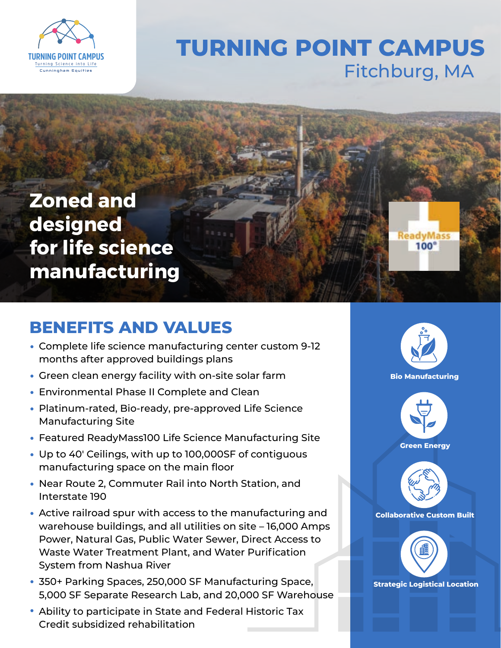

## **TURNING POINT CAMPUS** Fitchburg, MA

**Zoned and designed for life science manufacturing**

## **BENEFITS AND VALUES**

- Complete life science manufacturing center custom 9-12 months after approved buildings plans
- Green clean energy facility with on-site solar farm
- Environmental Phase II Complete and Clean
- Platinum-rated, Bio-ready, pre-approved Life Science Manufacturing Site
- Featured ReadyMass100 Life Science Manufacturing Site
- Up to 40′ Ceilings, with up to 100,000SF of contiguous manufacturing space on the main floor
- Near Route 2, Commuter Rail into North Station, and Interstate 190
- Active railroad spur with access to the manufacturing and warehouse buildings, and all utilities on site – 16,000 Amps Power, Natural Gas, Public Water Sewer, Direct Access to Waste Water Treatment Plant, and Water Purification System from Nashua River
- 350+ Parking Spaces, 250,000 SF Manufacturing Space, **Strategic Logistical Location** 5,000 SF Separate Research Lab, and 20,000 SF Warehouse
- Ability to participate in State and Federal Historic Tax •Credit subsidized rehabilitation



**ReadyMass**  $100^\circ$ 



**Green Energy**



**Collaborative Custom Built**